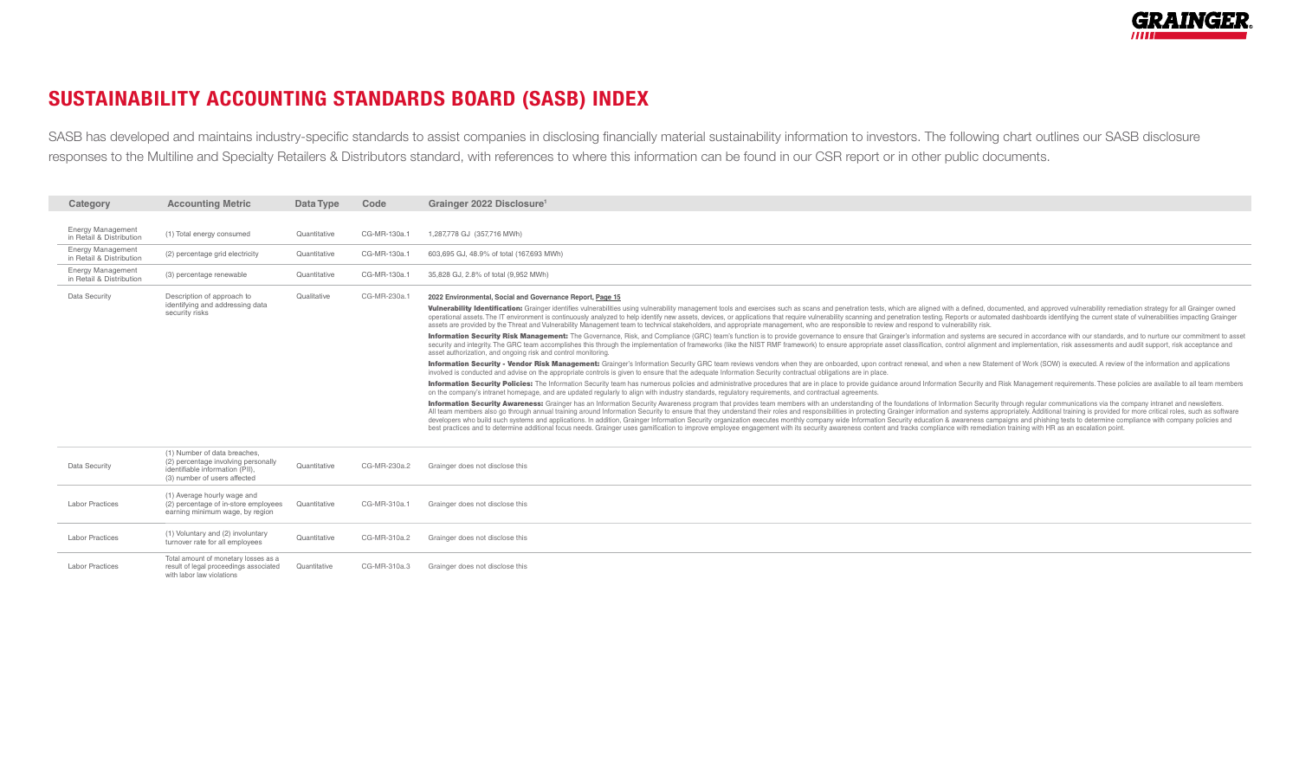

## SUSTAINABILITY ACCOUNTING STANDARDS BOARD (SASB) INDEX

SASB has developed and maintains industry-specific standards to assist companies in disclosing financially material sustainability information to investors. The following chart outlines our SASB disclosure responses to the Multiline and Specialty Retailers & Distributors standard, with references to where this information can be found in our CSR report or in other public documents.

| Category                                             | <b>Accounting Metric</b>                                                                                                               | Data Type    | Code         | Grainger 2022 Disclosure <sup>1</sup>                                                                                                                                                                                                                                                                                                                                                                                                                                                                                                                                                                                                                                                                                                                                                                                                                                                                                                |
|------------------------------------------------------|----------------------------------------------------------------------------------------------------------------------------------------|--------------|--------------|--------------------------------------------------------------------------------------------------------------------------------------------------------------------------------------------------------------------------------------------------------------------------------------------------------------------------------------------------------------------------------------------------------------------------------------------------------------------------------------------------------------------------------------------------------------------------------------------------------------------------------------------------------------------------------------------------------------------------------------------------------------------------------------------------------------------------------------------------------------------------------------------------------------------------------------|
|                                                      |                                                                                                                                        |              |              |                                                                                                                                                                                                                                                                                                                                                                                                                                                                                                                                                                                                                                                                                                                                                                                                                                                                                                                                      |
| <b>Energy Management</b><br>in Retail & Distribution | (1) Total energy consumed                                                                                                              | Quantitative | CG-MR-130a.1 | 1,287,778 GJ (357,716 MWh)                                                                                                                                                                                                                                                                                                                                                                                                                                                                                                                                                                                                                                                                                                                                                                                                                                                                                                           |
| <b>Energy Management</b><br>in Retail & Distribution | (2) percentage grid electricity                                                                                                        | Quantitative | CG-MR-130a.1 | 603,695 GJ, 48.9% of total (167,693 MWh)                                                                                                                                                                                                                                                                                                                                                                                                                                                                                                                                                                                                                                                                                                                                                                                                                                                                                             |
| <b>Energy Management</b><br>in Retail & Distribution | (3) percentage renewable                                                                                                               | Quantitative | CG-MR-130a.1 | 35,828 GJ, 2.8% of total (9,952 MWh)                                                                                                                                                                                                                                                                                                                                                                                                                                                                                                                                                                                                                                                                                                                                                                                                                                                                                                 |
| Data Security                                        | Description of approach to<br>identifying and addressing data<br>security risks                                                        | Qualitative  | CG-MR-230a.1 | 2022 Environmental, Social and Governance Report, Page 15                                                                                                                                                                                                                                                                                                                                                                                                                                                                                                                                                                                                                                                                                                                                                                                                                                                                            |
|                                                      |                                                                                                                                        |              |              | Vulnerability Identification: Grainger identifies vulnerabilities using vulnerability management tools and exercises such as scans and penetration tests, which are aligned with a defined, documented, and approved vulnerabi<br>operational assets. The IT environment is continuously analyzed to help identify new assets, devices, or applications that require vulnerability scanning and penetration testing. Reports or automated dashboards identifying<br>assets are provided by the Threat and Vulnerability Management team to technical stakeholders, and appropriate management, who are responsible to review and respond to vulnerability risk.                                                                                                                                                                                                                                                                      |
|                                                      |                                                                                                                                        |              |              | Information Security Risk Management: The Governance, Risk, and Compliance (GRC) team's function is to provide governance to ensure that Grainger's information and systems are secured in accordance with our standards, and<br>security and integrity. The GRC team accomplishes this through the implementation of frameworks (like the NIST RMF framework) to ensure appropriate asset classification, control alignment and implementation, risk assessmen<br>asset authorization, and ongoing risk and control monitoring.                                                                                                                                                                                                                                                                                                                                                                                                     |
|                                                      |                                                                                                                                        |              |              | Information Security - Vendor Risk Management: Grainger's Information Security GRC team reviews vendors when they are onboarded, upon contract renewal, and when a new Statement of Work (SOW) is executed. A review of the in<br>involved is conducted and advise on the appropriate controls is given to ensure that the adequate Information Security contractual obligations are in place.                                                                                                                                                                                                                                                                                                                                                                                                                                                                                                                                       |
|                                                      |                                                                                                                                        |              |              | Information Security Policies: The Information Security team has numerous policies and administrative procedures that are in place to provide quidance around Information Security and Risk Management requirements. These pol<br>on the company's intranet homepage, and are updated regularly to align with industry standards, regulatory requirements, and contractual agreements.                                                                                                                                                                                                                                                                                                                                                                                                                                                                                                                                               |
|                                                      |                                                                                                                                        |              |              | Information Security Awareness: Grainger has an Information Security Awareness program that provides team members with an understanding of the foundations of Information Security through regular communications via the comp<br>All team members also go through annual training around Information Security to ensure that they understand their roles and responsibilities in protecting Grainger information and systems appropriately. Additional training<br>developers who build such systems and applications. In addition, Grainger Information Security organization executes monthly company wide Information Security education & awareness campaigns and phishing tests to determine<br>best practices and to determine additional focus needs. Grainger uses gamification to improve employee engagement with its security awareness content and tracks compliance with remediation training with HR as an escalation |
| Data Security                                        | (1) Number of data breaches,<br>(2) percentage involving personally<br>identifiable information (PII).<br>(3) number of users affected | Quantitative | CG-MR-230a.2 | Grainger does not disclose this                                                                                                                                                                                                                                                                                                                                                                                                                                                                                                                                                                                                                                                                                                                                                                                                                                                                                                      |
| <b>Labor Practices</b>                               | (1) Average hourly wage and<br>(2) percentage of in-store employees<br>earning minimum wage, by region                                 | Quantitative | CG-MR-310a.1 | Grainger does not disclose this                                                                                                                                                                                                                                                                                                                                                                                                                                                                                                                                                                                                                                                                                                                                                                                                                                                                                                      |
| <b>Labor Practices</b>                               | (1) Voluntary and (2) involuntary<br>turnover rate for all employees                                                                   | Quantitative | CG-MR-310a.2 | Grainger does not disclose this                                                                                                                                                                                                                                                                                                                                                                                                                                                                                                                                                                                                                                                                                                                                                                                                                                                                                                      |

|                 | Total amount of monetary losses as a   |              |              |                                 |
|-----------------|----------------------------------------|--------------|--------------|---------------------------------|
| Labor Practices | result of legal proceedings associated | Quantitative | CG-MR-310a.3 | Grainger does not disclose this |
|                 | with labor law violations              |              |              |                                 |